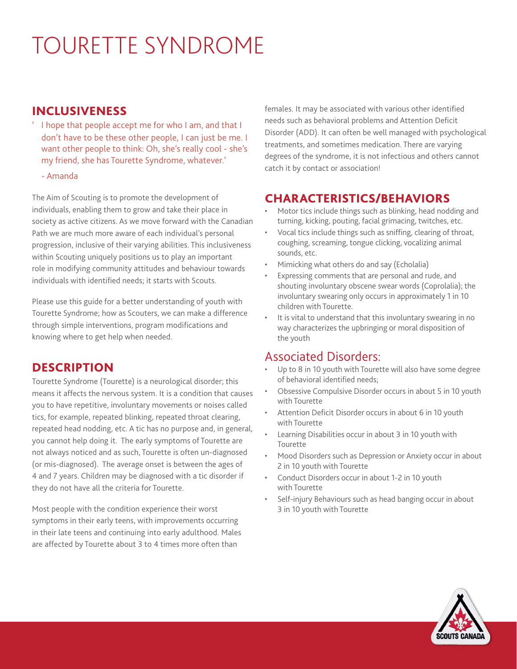# TOURETTE SYNDROME

#### INCLUSIVENESS

- ' I hope that people accept me for who I am, and that I don't have to be these other people, I can just be me. I want other people to think: Oh, she's really cool - she's my friend, she has Tourette Syndrome, whatever.'
	- Amanda

The Aim of Scouting is to promote the development of individuals, enabling them to grow and take their place in society as active citizens. As we move forward with the Canadian Path we are much more aware of each individual's personal progression, inclusive of their varying abilities. This inclusiveness within Scouting uniquely positions us to play an important role in modifying community attitudes and behaviour towards individuals with identified needs; it starts with Scouts.

Please use this guide for a better understanding of youth with Tourette Syndrome; how as Scouters, we can make a difference through simple interventions, program modifications and knowing where to get help when needed.

#### **DESCRIPTION**

Tourette Syndrome (Tourette) is a neurological disorder; this means it affects the nervous system. It is a condition that causes you to have repetitive, involuntary movements or noises called tics, for example, repeated blinking, repeated throat clearing, repeated head nodding, etc. A tic has no purpose and, in general, you cannot help doing it. The early symptoms of Tourette are not always noticed and as such, Tourette is often un-diagnosed (or mis-diagnosed). The average onset is between the ages of 4 and 7 years. Children may be diagnosed with a tic disorder if they do not have all the criteria for Tourette.

Most people with the condition experience their worst symptoms in their early teens, with improvements occurring in their late teens and continuing into early adulthood. Males are affected by Tourette about 3 to 4 times more often than

females. It may be associated with various other identified needs such as behavioral problems and Attention Deficit Disorder (ADD). It can often be well managed with psychological treatments, and sometimes medication. There are varying degrees of the syndrome, it is not infectious and others cannot catch it by contact or association!

#### CHARACTERISTICS/BEHAVIORS

- Motor tics include things such as blinking, head nodding and turning, kicking, pouting, facial grimacing, twitches, etc.
- Vocal tics include things such as sniffing, clearing of throat, coughing, screaming, tongue clicking, vocalizing animal sounds, etc.
- Mimicking what others do and say (Echolalia)
- Expressing comments that are personal and rude, and shouting involuntary obscene swear words (Coprolalia); the involuntary swearing only occurs in approximately 1 in 10 children with Tourette.
- It is vital to understand that this involuntary swearing in no way characterizes the upbringing or moral disposition of the youth

# Associated Disorders:

- Up to 8 in 10 youth with Tourette will also have some degree of behavioral identified needs;
- Obsessive Compulsive Disorder occurs in about 5 in 10 youth with Tourette
- Attention Deficit Disorder occurs in about 6 in 10 youth with Tourette
- Learning Disabilities occur in about 3 in 10 youth with Tourette
- Mood Disorders such as Depression or Anxiety occur in about 2 in 10 youth with Tourette
- Conduct Disorders occur in about 1-2 in 10 youth with Tourette
- Self-injury Behaviours such as head banging occur in about 3 in 10 youth with Tourette